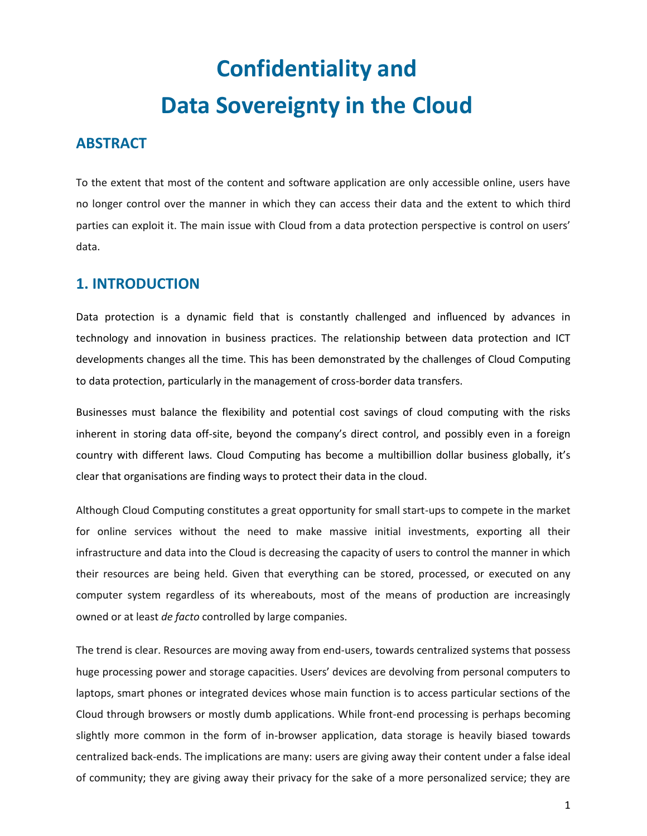# **Confidentiality and Data Sovereignty in the Cloud**

# **ABSTRACT**

To the extent that most of the content and software application are only accessible online, users have no longer control over the manner in which they can access their data and the extent to which third parties can exploit it. The main issue with Cloud from a data protection perspective is control on users' data.

# **1. INTRODUCTION**

Data protection is a dynamic field that is constantly challenged and influenced by advances in technology and innovation in business practices. The relationship between data protection and ICT developments changes all the time. This has been demonstrated by the challenges of Cloud Computing to data protection, particularly in the management of cross-border data transfers.

Businesses must balance the flexibility and potential cost savings of cloud computing with the risks inherent in storing data off-site, beyond the company's direct control, and possibly even in a foreign country with different laws. Cloud Computing has become a multibillion dollar business globally, it's clear that organisations are finding ways to protect their data in the cloud.

Although Cloud Computing constitutes a great opportunity for small start-ups to compete in the market for online services without the need to make massive initial investments, exporting all their infrastructure and data into the Cloud is decreasing the capacity of users to control the manner in which their resources are being held. Given that everything can be stored, processed, or executed on any computer system regardless of its whereabouts, most of the means of production are increasingly owned or at least *de facto* controlled by large companies.

The trend is clear. Resources are moving away from end-users, towards centralized systems that possess huge processing power and storage capacities. Users' devices are devolving from personal computers to laptops, smart phones or integrated devices whose main function is to access particular sections of the Cloud through browsers or mostly dumb applications. While front-end processing is perhaps becoming slightly more common in the form of in-browser application, data storage is heavily biased towards centralized back-ends. The implications are many: users are giving away their content under a false ideal of community; they are giving away their privacy for the sake of a more personalized service; they are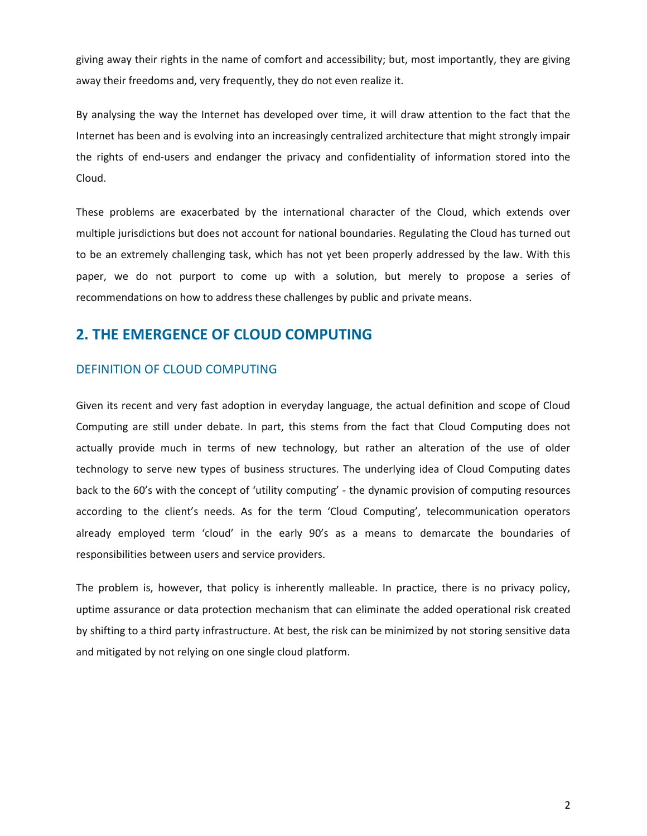giving away their rights in the name of comfort and accessibility; but, most importantly, they are giving away their freedoms and, very frequently, they do not even realize it.

By analysing the way the Internet has developed over time, it will draw attention to the fact that the Internet has been and is evolving into an increasingly centralized architecture that might strongly impair the rights of end-users and endanger the privacy and confidentiality of information stored into the Cloud.

These problems are exacerbated by the international character of the Cloud, which extends over multiple jurisdictions but does not account for national boundaries. Regulating the Cloud has turned out to be an extremely challenging task, which has not yet been properly addressed by the law. With this paper, we do not purport to come up with a solution, but merely to propose a series of recommendations on how to address these challenges by public and private means.

# **2. THE EMERGENCE OF CLOUD COMPUTING**

## DEFINITION OF CLOUD COMPUTING

Given its recent and very fast adoption in everyday language, the actual definition and scope of Cloud Computing are still under debate. In part, this stems from the fact that Cloud Computing does not actually provide much in terms of new technology, but rather an alteration of the use of older technology to serve new types of business structures. The underlying idea of Cloud Computing dates back to the 60's with the concept of 'utility computing' - the dynamic provision of computing resources according to the client's needs. As for the term 'Cloud Computing', telecommunication operators already employed term 'cloud' in the early 90's as a means to demarcate the boundaries of responsibilities between users and service providers.

The problem is, however, that policy is inherently malleable. In practice, there is no privacy policy, uptime assurance or data protection mechanism that can eliminate the added operational risk created by shifting to a third party infrastructure. At best, the risk can be minimized by not storing sensitive data and mitigated by not relying on one single cloud platform.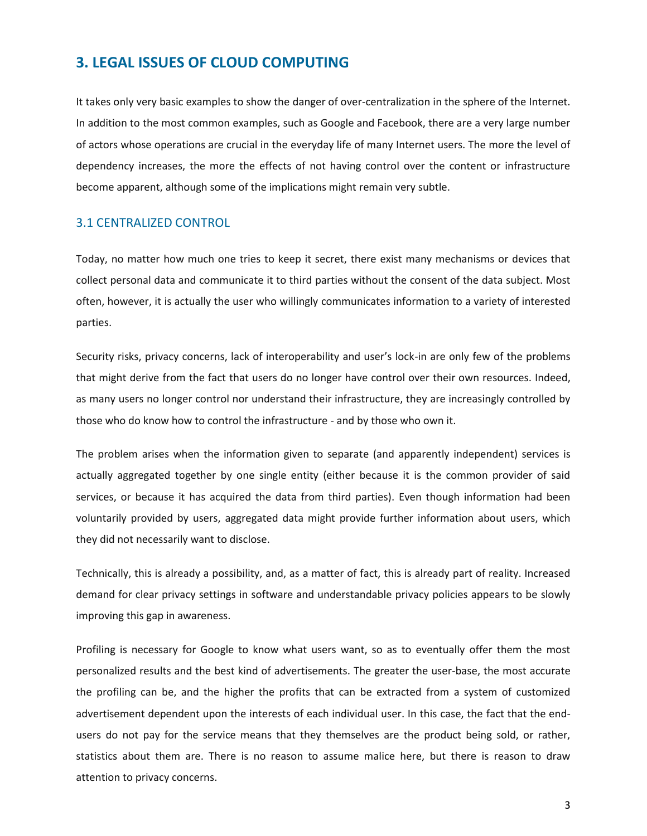# **3. LEGAL ISSUES OF CLOUD COMPUTING**

It takes only very basic examples to show the danger of over-centralization in the sphere of the Internet. In addition to the most common examples, such as Google and Facebook, there are a very large number of actors whose operations are crucial in the everyday life of many Internet users. The more the level of dependency increases, the more the effects of not having control over the content or infrastructure become apparent, although some of the implications might remain very subtle.

#### 3.1 CENTRALIZED CONTROL

Today, no matter how much one tries to keep it secret, there exist many mechanisms or devices that collect personal data and communicate it to third parties without the consent of the data subject. Most often, however, it is actually the user who willingly communicates information to a variety of interested parties.

Security risks, privacy concerns, lack of interoperability and user's lock-in are only few of the problems that might derive from the fact that users do no longer have control over their own resources. Indeed, as many users no longer control nor understand their infrastructure, they are increasingly controlled by those who do know how to control the infrastructure - and by those who own it.

The problem arises when the information given to separate (and apparently independent) services is actually aggregated together by one single entity (either because it is the common provider of said services, or because it has acquired the data from third parties). Even though information had been voluntarily provided by users, aggregated data might provide further information about users, which they did not necessarily want to disclose.

Technically, this is already a possibility, and, as a matter of fact, this is already part of reality. Increased demand for clear privacy settings in software and understandable privacy policies appears to be slowly improving this gap in awareness.

Profiling is necessary for Google to know what users want, so as to eventually offer them the most personalized results and the best kind of advertisements. The greater the user-base, the most accurate the profiling can be, and the higher the profits that can be extracted from a system of customized advertisement dependent upon the interests of each individual user. In this case, the fact that the endusers do not pay for the service means that they themselves are the product being sold, or rather, statistics about them are. There is no reason to assume malice here, but there is reason to draw attention to privacy concerns.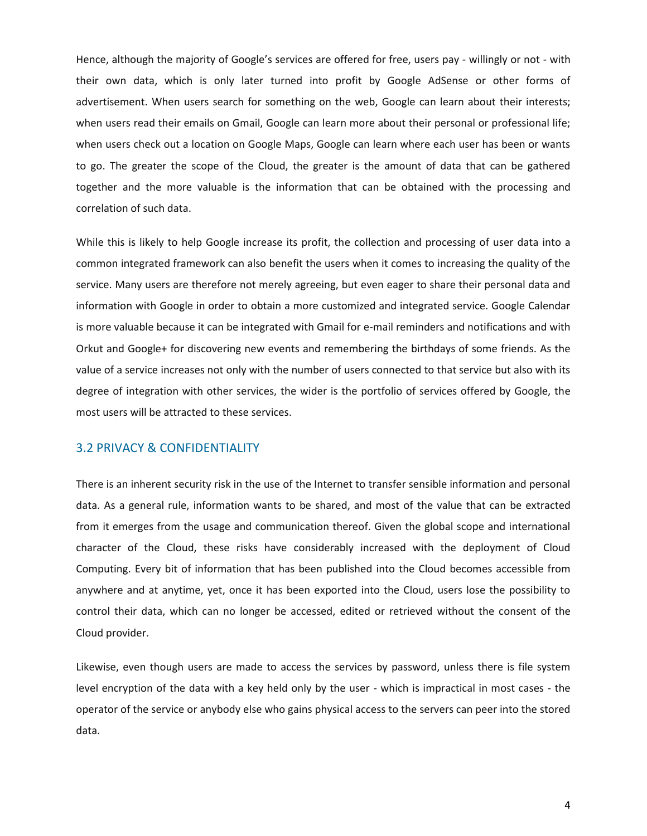Hence, although the majority of Google's services are offered for free, users pay - willingly or not - with their own data, which is only later turned into profit by Google AdSense or other forms of advertisement. When users search for something on the web, Google can learn about their interests; when users read their emails on Gmail, Google can learn more about their personal or professional life; when users check out a location on Google Maps, Google can learn where each user has been or wants to go. The greater the scope of the Cloud, the greater is the amount of data that can be gathered together and the more valuable is the information that can be obtained with the processing and correlation of such data.

While this is likely to help Google increase its profit, the collection and processing of user data into a common integrated framework can also benefit the users when it comes to increasing the quality of the service. Many users are therefore not merely agreeing, but even eager to share their personal data and information with Google in order to obtain a more customized and integrated service. Google Calendar is more valuable because it can be integrated with Gmail for e-mail reminders and notifications and with Orkut and Google+ for discovering new events and remembering the birthdays of some friends. As the value of a service increases not only with the number of users connected to that service but also with its degree of integration with other services, the wider is the portfolio of services offered by Google, the most users will be attracted to these services.

# 3.2 PRIVACY & CONFIDENTIALITY

There is an inherent security risk in the use of the Internet to transfer sensible information and personal data. As a general rule, information wants to be shared, and most of the value that can be extracted from it emerges from the usage and communication thereof. Given the global scope and international character of the Cloud, these risks have considerably increased with the deployment of Cloud Computing. Every bit of information that has been published into the Cloud becomes accessible from anywhere and at anytime, yet, once it has been exported into the Cloud, users lose the possibility to control their data, which can no longer be accessed, edited or retrieved without the consent of the Cloud provider.

Likewise, even though users are made to access the services by password, unless there is file system level encryption of the data with a key held only by the user - which is impractical in most cases - the operator of the service or anybody else who gains physical access to the servers can peer into the stored data.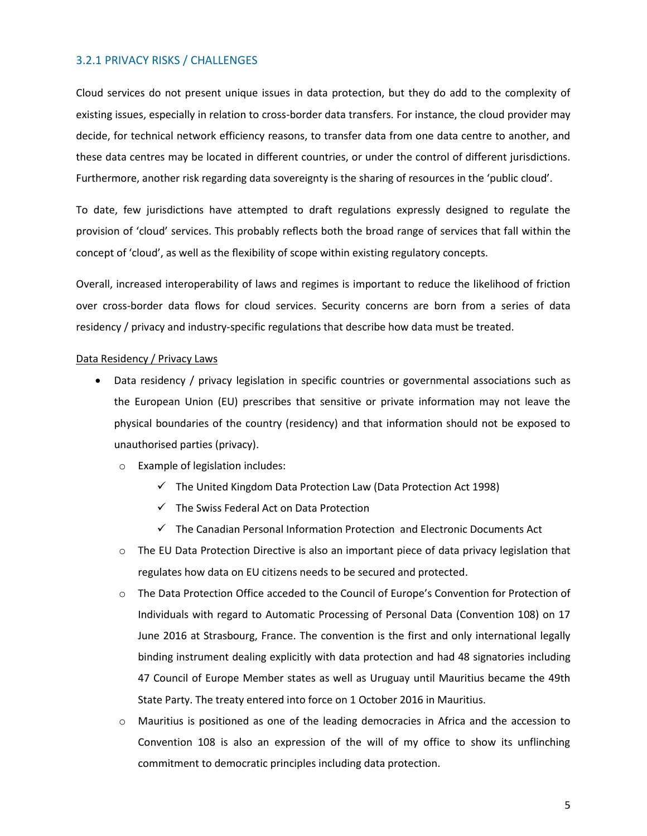## 3.2.1 PRIVACY RISKS / CHALLENGES

Cloud services do not present unique issues in data protection, but they do add to the complexity of existing issues, especially in relation to cross-border data transfers. For instance, the cloud provider may decide, for technical network efficiency reasons, to transfer data from one data centre to another, and these data centres may be located in different countries, or under the control of different jurisdictions. Furthermore, another risk regarding data sovereignty is the sharing of resources in the 'public cloud'.

To date, few jurisdictions have attempted to draft regulations expressly designed to regulate the provision of 'cloud' services. This probably reflects both the broad range of services that fall within the concept of 'cloud', as well as the flexibility of scope within existing regulatory concepts.

Overall, increased interoperability of laws and regimes is important to reduce the likelihood of friction over cross-border data flows for cloud services. Security concerns are born from a series of data residency / privacy and industry-specific regulations that describe how data must be treated.

#### Data Residency / Privacy Laws

- Data residency / privacy legislation in specific countries or governmental associations such as the European Union (EU) prescribes that sensitive or private information may not leave the physical boundaries of the country (residency) and that information should not be exposed to unauthorised parties (privacy).
	- o Example of legislation includes:
		- $\checkmark$  The United Kingdom Data Protection Law (Data Protection Act 1998)
		- $\checkmark$  The Swiss Federal Act on Data Protection
		- $\checkmark$  The Canadian Personal Information Protection and Electronic Documents Act
	- o The EU Data Protection Directive is also an important piece of data privacy legislation that regulates how data on EU citizens needs to be secured and protected.
	- o The Data Protection Office acceded to the Council of Europe's Convention for Protection of Individuals with regard to Automatic Processing of Personal Data (Convention 108) on 17 June 2016 at Strasbourg, France. The convention is the first and only international legally binding instrument dealing explicitly with data protection and had 48 signatories including 47 Council of Europe Member states as well as Uruguay until Mauritius became the 49th State Party. The treaty entered into force on 1 October 2016 in Mauritius.
	- Mauritius is positioned as one of the leading democracies in Africa and the accession to Convention 108 is also an expression of the will of my office to show its unflinching commitment to democratic principles including data protection.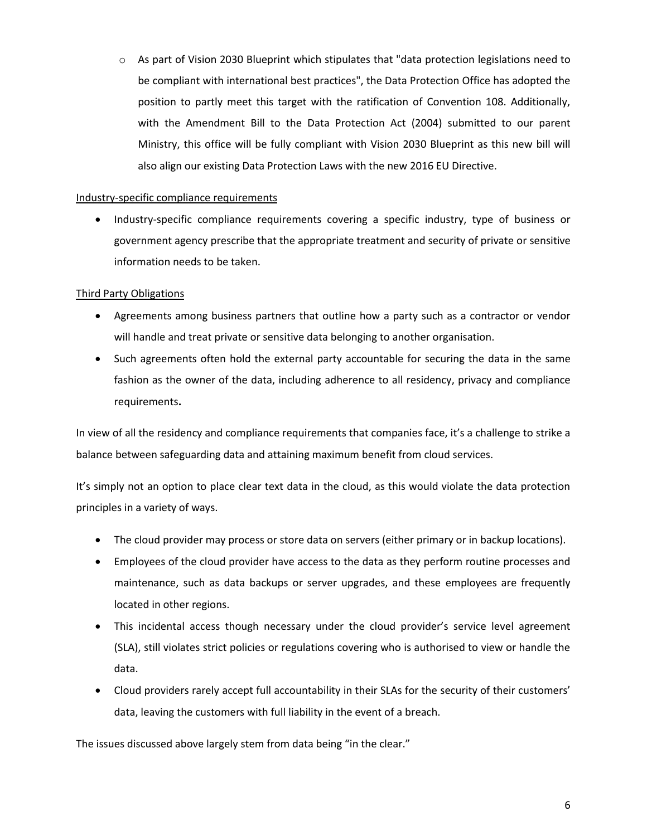$\circ$  As part of Vision 2030 Blueprint which stipulates that "data protection legislations need to be compliant with international best practices", the Data Protection Office has adopted the position to partly meet this target with the ratification of Convention 108. Additionally, with the Amendment Bill to the Data Protection Act (2004) submitted to our parent Ministry, this office will be fully compliant with Vision 2030 Blueprint as this new bill will also align our existing Data Protection Laws with the new 2016 EU Directive.

## Industry-specific compliance requirements

• Industry-specific compliance requirements covering a specific industry, type of business or government agency prescribe that the appropriate treatment and security of private or sensitive information needs to be taken.

## Third Party Obligations

- Agreements among business partners that outline how a party such as a contractor or vendor will handle and treat private or sensitive data belonging to another organisation.
- Such agreements often hold the external party accountable for securing the data in the same fashion as the owner of the data, including adherence to all residency, privacy and compliance requirements**.**

In view of all the residency and compliance requirements that companies face, it's a challenge to strike a balance between safeguarding data and attaining maximum benefit from cloud services.

It's simply not an option to place clear text data in the cloud, as this would violate the data protection principles in a variety of ways.

- The cloud provider may process or store data on servers (either primary or in backup locations).
- Employees of the cloud provider have access to the data as they perform routine processes and maintenance, such as data backups or server upgrades, and these employees are frequently located in other regions.
- This incidental access though necessary under the cloud provider's service level agreement (SLA), still violates strict policies or regulations covering who is authorised to view or handle the data.
- Cloud providers rarely accept full accountability in their SLAs for the security of their customers' data, leaving the customers with full liability in the event of a breach.

The issues discussed above largely stem from data being "in the clear."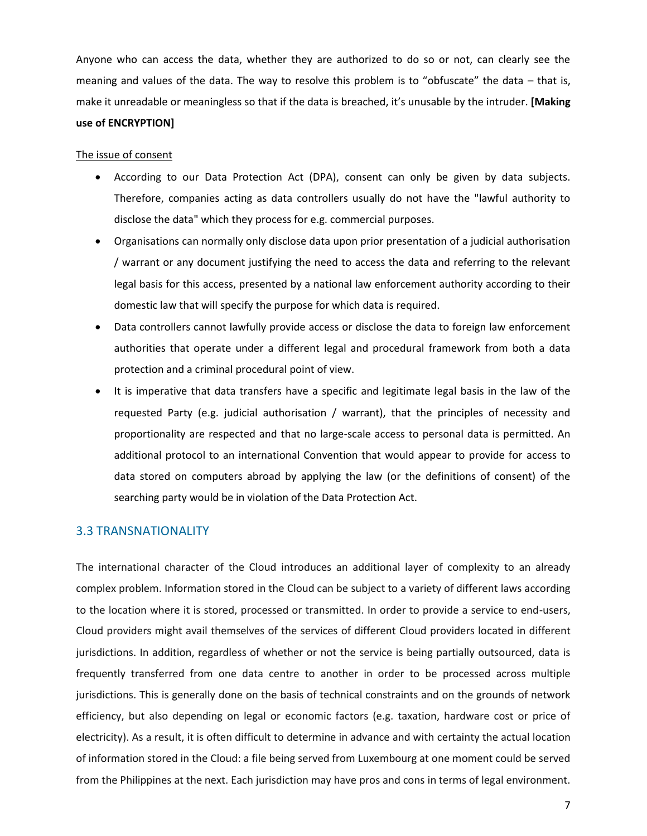Anyone who can access the data, whether they are authorized to do so or not, can clearly see the meaning and values of the data. The way to resolve this problem is to "obfuscate" the data – that is, make it unreadable or meaningless so that if the data is breached, it's unusable by the intruder. **[Making**

#### **use of ENCRYPTION]**

#### The issue of consent

- According to our Data Protection Act (DPA), consent can only be given by data subjects. Therefore, companies acting as data controllers usually do not have the "lawful authority to disclose the data" which they process for e.g. commercial purposes.
- Organisations can normally only disclose data upon prior presentation of a judicial authorisation / warrant or any document justifying the need to access the data and referring to the relevant legal basis for this access, presented by a national law enforcement authority according to their domestic law that will specify the purpose for which data is required.
- Data controllers cannot lawfully provide access or disclose the data to foreign law enforcement authorities that operate under a different legal and procedural framework from both a data protection and a criminal procedural point of view.
- It is imperative that data transfers have a specific and legitimate legal basis in the law of the requested Party (e.g. judicial authorisation / warrant), that the principles of necessity and proportionality are respected and that no large-scale access to personal data is permitted. An additional protocol to an international Convention that would appear to provide for access to data stored on computers abroad by applying the law (or the definitions of consent) of the searching party would be in violation of the Data Protection Act.

## 3.3 TRANSNATIONALITY

The international character of the Cloud introduces an additional layer of complexity to an already complex problem. Information stored in the Cloud can be subject to a variety of different laws according to the location where it is stored, processed or transmitted. In order to provide a service to end-users, Cloud providers might avail themselves of the services of different Cloud providers located in different jurisdictions. In addition, regardless of whether or not the service is being partially outsourced, data is frequently transferred from one data centre to another in order to be processed across multiple jurisdictions. This is generally done on the basis of technical constraints and on the grounds of network efficiency, but also depending on legal or economic factors (e.g. taxation, hardware cost or price of electricity). As a result, it is often difficult to determine in advance and with certainty the actual location of information stored in the Cloud: a file being served from Luxembourg at one moment could be served from the Philippines at the next. Each jurisdiction may have pros and cons in terms of legal environment.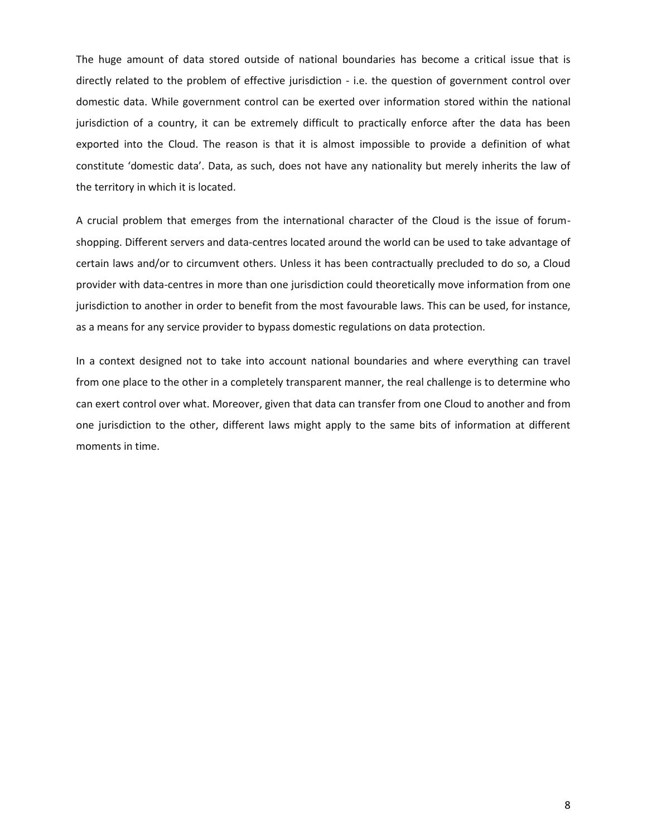The huge amount of data stored outside of national boundaries has become a critical issue that is directly related to the problem of effective jurisdiction - i.e. the question of government control over domestic data. While government control can be exerted over information stored within the national jurisdiction of a country, it can be extremely difficult to practically enforce after the data has been exported into the Cloud. The reason is that it is almost impossible to provide a definition of what constitute 'domestic data'. Data, as such, does not have any nationality but merely inherits the law of the territory in which it is located.

A crucial problem that emerges from the international character of the Cloud is the issue of forumshopping. Different servers and data-centres located around the world can be used to take advantage of certain laws and/or to circumvent others. Unless it has been contractually precluded to do so, a Cloud provider with data-centres in more than one jurisdiction could theoretically move information from one jurisdiction to another in order to benefit from the most favourable laws. This can be used, for instance, as a means for any service provider to bypass domestic regulations on data protection.

In a context designed not to take into account national boundaries and where everything can travel from one place to the other in a completely transparent manner, the real challenge is to determine who can exert control over what. Moreover, given that data can transfer from one Cloud to another and from one jurisdiction to the other, different laws might apply to the same bits of information at different moments in time.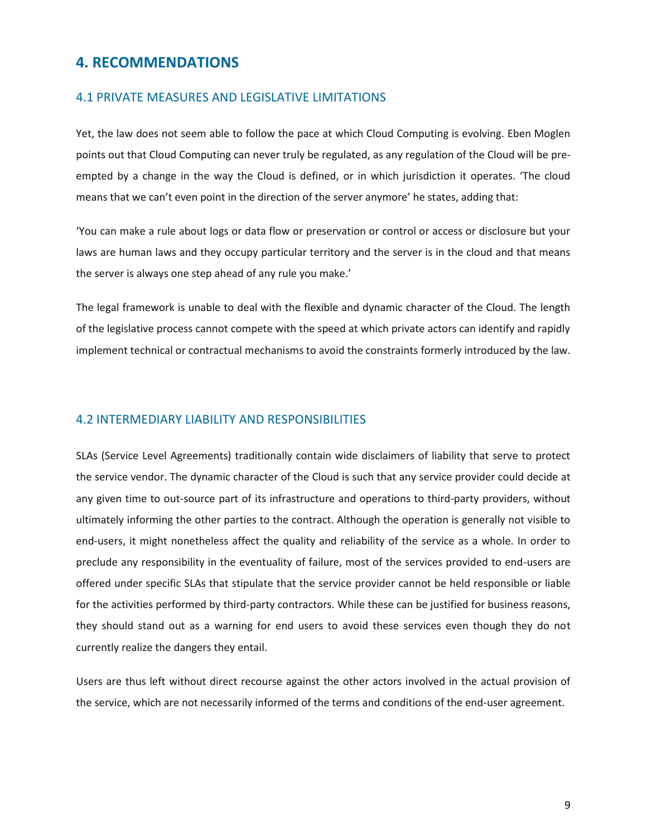# **4. RECOMMENDATIONS**

#### 4.1 PRIVATE MEASURES AND LEGISLATIVE LIMITATIONS

Yet, the law does not seem able to follow the pace at which Cloud Computing is evolving. Eben Moglen points out that Cloud Computing can never truly be regulated, as any regulation of the Cloud will be preempted by a change in the way the Cloud is defined, or in which jurisdiction it operates. 'The cloud means that we can't even point in the direction of the server anymore' he states, adding that:

'You can make a rule about logs or data flow or preservation or control or access or disclosure but your laws are human laws and they occupy particular territory and the server is in the cloud and that means the server is always one step ahead of any rule you make.'

The legal framework is unable to deal with the flexible and dynamic character of the Cloud. The length of the legislative process cannot compete with the speed at which private actors can identify and rapidly implement technical or contractual mechanisms to avoid the constraints formerly introduced by the law.

#### 4.2 INTERMEDIARY LIABILITY AND RESPONSIBILITIES

SLAs (Service Level Agreements) traditionally contain wide disclaimers of liability that serve to protect the service vendor. The dynamic character of the Cloud is such that any service provider could decide at any given time to out-source part of its infrastructure and operations to third-party providers, without ultimately informing the other parties to the contract. Although the operation is generally not visible to end-users, it might nonetheless affect the quality and reliability of the service as a whole. In order to preclude any responsibility in the eventuality of failure, most of the services provided to end-users are offered under specific SLAs that stipulate that the service provider cannot be held responsible or liable for the activities performed by third-party contractors. While these can be justified for business reasons, they should stand out as a warning for end users to avoid these services even though they do not currently realize the dangers they entail.

Users are thus left without direct recourse against the other actors involved in the actual provision of the service, which are not necessarily informed of the terms and conditions of the end-user agreement.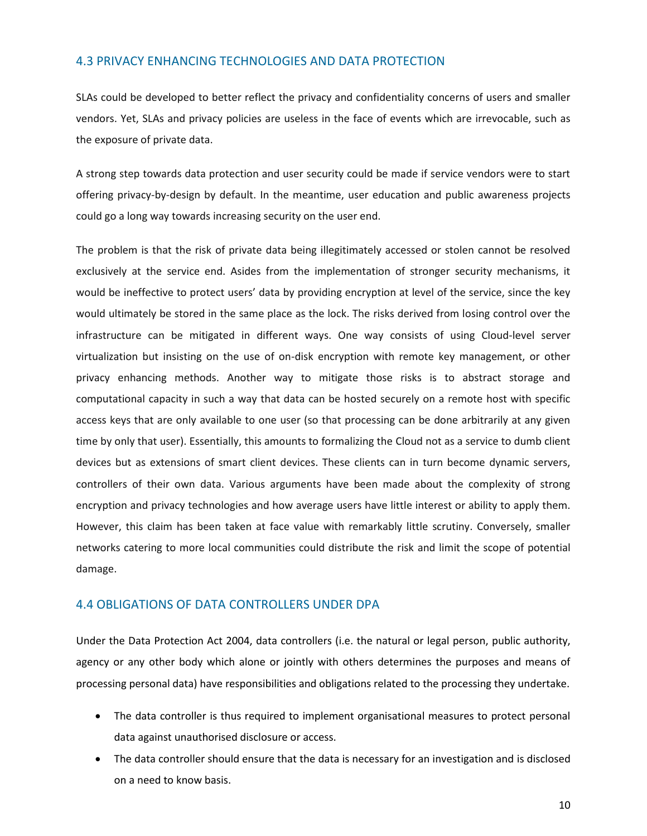## 4.3 PRIVACY ENHANCING TECHNOLOGIES AND DATA PROTECTION

SLAs could be developed to better reflect the privacy and confidentiality concerns of users and smaller vendors. Yet, SLAs and privacy policies are useless in the face of events which are irrevocable, such as the exposure of private data.

A strong step towards data protection and user security could be made if service vendors were to start offering privacy-by-design by default. In the meantime, user education and public awareness projects could go a long way towards increasing security on the user end.

The problem is that the risk of private data being illegitimately accessed or stolen cannot be resolved exclusively at the service end. Asides from the implementation of stronger security mechanisms, it would be ineffective to protect users' data by providing encryption at level of the service, since the key would ultimately be stored in the same place as the lock. The risks derived from losing control over the infrastructure can be mitigated in different ways. One way consists of using Cloud-level server virtualization but insisting on the use of on-disk encryption with remote key management, or other privacy enhancing methods. Another way to mitigate those risks is to abstract storage and computational capacity in such a way that data can be hosted securely on a remote host with specific access keys that are only available to one user (so that processing can be done arbitrarily at any given time by only that user). Essentially, this amounts to formalizing the Cloud not as a service to dumb client devices but as extensions of smart client devices. These clients can in turn become dynamic servers, controllers of their own data. Various arguments have been made about the complexity of strong encryption and privacy technologies and how average users have little interest or ability to apply them. However, this claim has been taken at face value with remarkably little scrutiny. Conversely, smaller networks catering to more local communities could distribute the risk and limit the scope of potential damage.

## 4.4 OBLIGATIONS OF DATA CONTROLLERS UNDER DPA

Under the Data Protection Act 2004, data controllers (i.e. the natural or legal person, public authority, agency or any other body which alone or jointly with others determines the purposes and means of processing personal data) have responsibilities and obligations related to the processing they undertake.

- The data controller is thus required to implement organisational measures to protect personal data against unauthorised disclosure or access.
- The data controller should ensure that the data is necessary for an investigation and is disclosed on a need to know basis.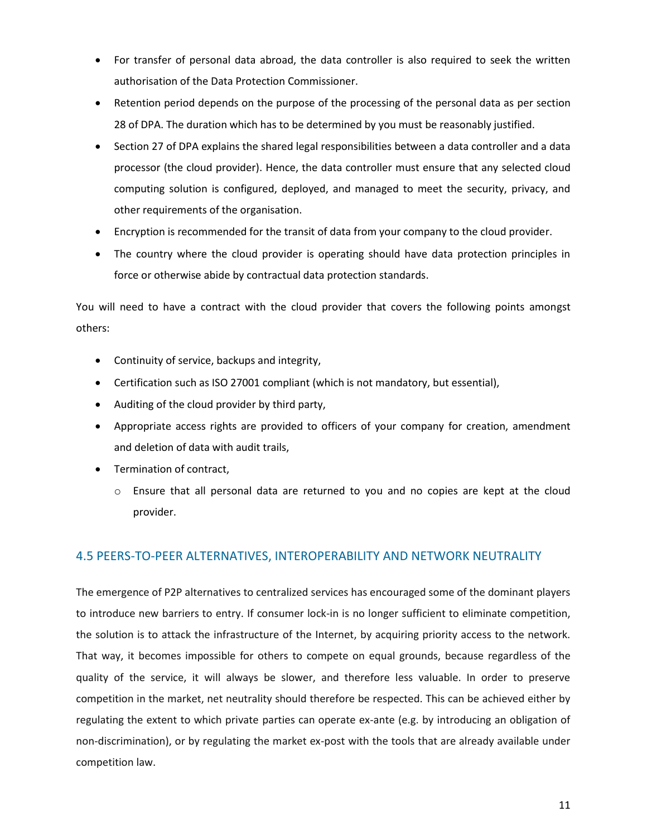- For transfer of personal data abroad, the data controller is also required to seek the written authorisation of the Data Protection Commissioner.
- Retention period depends on the purpose of the processing of the personal data as per section 28 of DPA. The duration which has to be determined by you must be reasonably justified.
- Section 27 of DPA explains the shared legal responsibilities between a data controller and a data processor (the cloud provider). Hence, the data controller must ensure that any selected cloud computing solution is configured, deployed, and managed to meet the security, privacy, and other requirements of the organisation.
- Encryption is recommended for the transit of data from your company to the cloud provider.
- The country where the cloud provider is operating should have data protection principles in force or otherwise abide by contractual data protection standards.

You will need to have a contract with the cloud provider that covers the following points amongst others:

- Continuity of service, backups and integrity,
- Certification such as ISO 27001 compliant (which is not mandatory, but essential),
- Auditing of the cloud provider by third party,
- Appropriate access rights are provided to officers of your company for creation, amendment and deletion of data with audit trails,
- Termination of contract,
	- o Ensure that all personal data are returned to you and no copies are kept at the cloud provider.

# 4.5 PEERS-TO-PEER ALTERNATIVES, INTEROPERABILITY AND NETWORK NEUTRALITY

The emergence of P2P alternatives to centralized services has encouraged some of the dominant players to introduce new barriers to entry. If consumer lock-in is no longer sufficient to eliminate competition, the solution is to attack the infrastructure of the Internet, by acquiring priority access to the network. That way, it becomes impossible for others to compete on equal grounds, because regardless of the quality of the service, it will always be slower, and therefore less valuable. In order to preserve competition in the market, net neutrality should therefore be respected. This can be achieved either by regulating the extent to which private parties can operate ex-ante (e.g. by introducing an obligation of non-discrimination), or by regulating the market ex-post with the tools that are already available under competition law.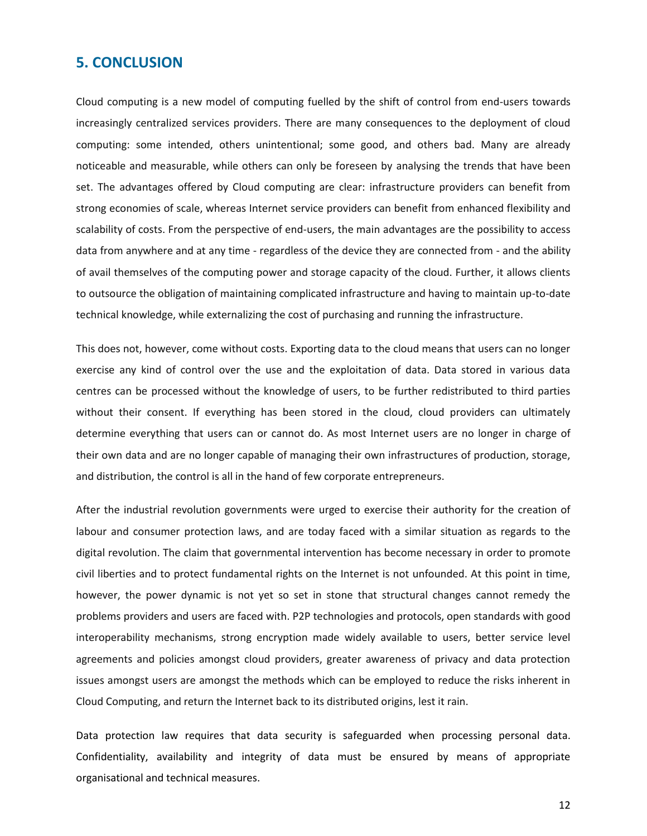# **5. CONCLUSION**

Cloud computing is a new model of computing fuelled by the shift of control from end-users towards increasingly centralized services providers. There are many consequences to the deployment of cloud computing: some intended, others unintentional; some good, and others bad. Many are already noticeable and measurable, while others can only be foreseen by analysing the trends that have been set. The advantages offered by Cloud computing are clear: infrastructure providers can benefit from strong economies of scale, whereas Internet service providers can benefit from enhanced flexibility and scalability of costs. From the perspective of end-users, the main advantages are the possibility to access data from anywhere and at any time - regardless of the device they are connected from - and the ability of avail themselves of the computing power and storage capacity of the cloud. Further, it allows clients to outsource the obligation of maintaining complicated infrastructure and having to maintain up-to-date technical knowledge, while externalizing the cost of purchasing and running the infrastructure.

This does not, however, come without costs. Exporting data to the cloud means that users can no longer exercise any kind of control over the use and the exploitation of data. Data stored in various data centres can be processed without the knowledge of users, to be further redistributed to third parties without their consent. If everything has been stored in the cloud, cloud providers can ultimately determine everything that users can or cannot do. As most Internet users are no longer in charge of their own data and are no longer capable of managing their own infrastructures of production, storage, and distribution, the control is all in the hand of few corporate entrepreneurs.

After the industrial revolution governments were urged to exercise their authority for the creation of labour and consumer protection laws, and are today faced with a similar situation as regards to the digital revolution. The claim that governmental intervention has become necessary in order to promote civil liberties and to protect fundamental rights on the Internet is not unfounded. At this point in time, however, the power dynamic is not yet so set in stone that structural changes cannot remedy the problems providers and users are faced with. P2P technologies and protocols, open standards with good interoperability mechanisms, strong encryption made widely available to users, better service level agreements and policies amongst cloud providers, greater awareness of privacy and data protection issues amongst users are amongst the methods which can be employed to reduce the risks inherent in Cloud Computing, and return the Internet back to its distributed origins, lest it rain.

Data protection law requires that data security is safeguarded when processing personal data. Confidentiality, availability and integrity of data must be ensured by means of appropriate organisational and technical measures.

12